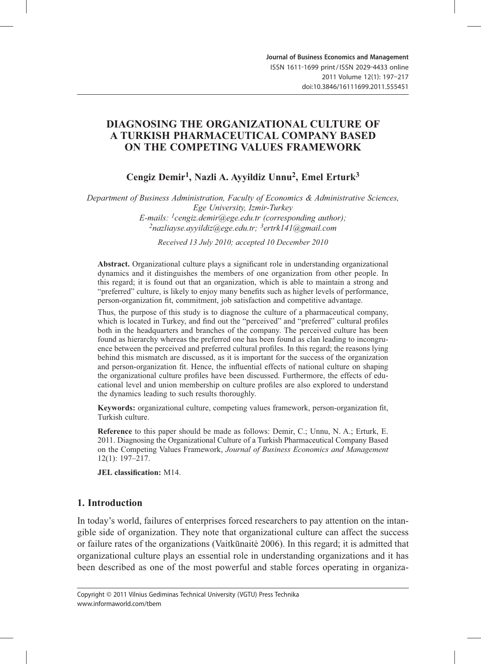### **DIAGNOSING THE ORGANIZATIONAL CULTURE OF A TURKISH PHARMACEUTICAL COMPANY BASED ON THE COMPETING VALUES FRAMEWORK**

# **Cengiz Demir1, Nazli A. Ayyildiz Unnu2, Emel Erturk3**

*Department of Business Administration, Faculty of Economics & Administrative Sciences, Ege University, Izmir-Turkey E-mails: 1cengiz.demir@ege.edu.tr (corresponding author); 2nazliayse.ayyildiz@ege.edu.tr; 3ertrk141@gmail.com*

*Received 13 July 2010; accepted 10 December 2010*

Abstract. Organizational culture plays a significant role in understanding organizational dynamics and it distinguishes the members of one organization from other people. In this regard; it is found out that an organization, which is able to maintain a strong and "preferred" culture, is likely to enjoy many benefits such as higher levels of performance, person-organization fit, commitment, job satisfaction and competitive advantage.

Thus, the purpose of this study is to diagnose the culture of a pharmaceutical company, which is located in Turkey, and find out the "perceived" and "preferred" cultural profiles both in the headquarters and branches of the company. The perceived culture has been found as hierarchy whereas the preferred one has been found as clan leading to incongruence between the perceived and preferred cultural profiles. In this regard; the reasons lying behind this mismatch are discussed, as it is important for the success of the organization and person-organization fit. Hence, the influential effects of national culture on shaping the organizational culture profiles have been discussed. Furthermore, the effects of educational level and union membership on culture profiles are also explored to understand the dynamics leading to such results thoroughly.

**Keywords:** organizational culture, competing values framework, person-organization fit, Turkish culture.

**Reference** to this paper should be made as follows: Demir, C.; Unnu, N. A.; Erturk, E. 2011. Diagnosing the Organizational Culture of a Turkish Pharmaceutical Company Based on the Competing Values Framework, *Journal of Business Economics and Management* 12(1): 197–217.

**JEL classification:** M14.

### **1. Introduction**

In today's world, failures of enterprises forced researchers to pay attention on the intangible side of organization. They note that organizational culture can affect the success or failure rates of the organizations (Vaitkūnaitė 2006). In this regard; it is admitted that organizational culture plays an essential role in understanding organizations and it has been described as one of the most powerful and stable forces operating in organiza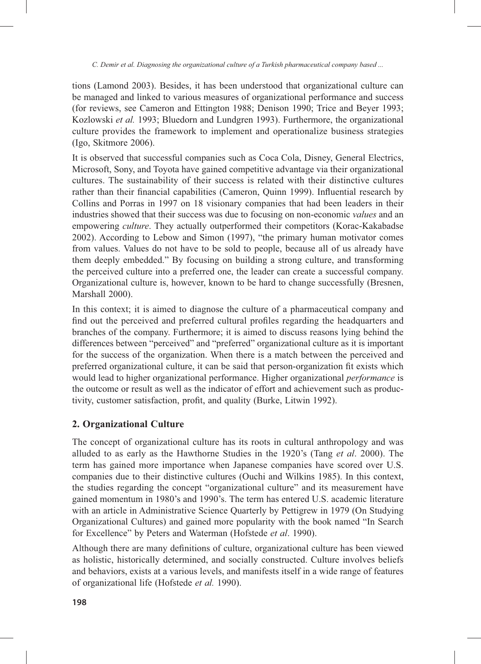tions (Lamond 2003). Besides, it has been understood that organizational culture can be managed and linked to various measures of organizational performance and success (for reviews, see Cameron and Ettington 1988; Denison 1990; Trice and Beyer 1993; Kozlowski *et al.* 1993; Bluedorn and Lundgren 1993). Furthermore, the organizational culture provides the framework to implement and operationalize business strategies (Igo, Skitmore 2006).

It is observed that successful companies such as Coca Cola, Disney, General Electrics, Microsoft, Sony, and Toyota have gained competitive advantage via their organizational cultures. The sustainability of their success is related with their distinctive cultures rather than their financial capabilities (Cameron, Ouinn 1999). Influential research by Collins and Porras in 1997 on 18 visionary companies that had been leaders in their industries showed that their success was due to focusing on non-economic *values* and an empowering *culture*. They actually outperformed their competitors (Korac-Kakabadse 2002). According to Lebow and Simon (1997), "the primary human motivator comes from values. Values do not have to be sold to people, because all of us already have them deeply embedded." By focusing on building a strong culture, and transforming the perceived culture into a preferred one, the leader can create a successful company. Organizational culture is, however, known to be hard to change successfully (Bresnen, Marshall 2000).

In this context; it is aimed to diagnose the culture of a pharmaceutical company and find out the perceived and preferred cultural profiles regarding the headquarters and branches of the company. Furthermore; it is aimed to discuss reasons lying behind the differences between "perceived" and "preferred" organizational culture as it is important for the success of the organization. When there is a match between the perceived and preferred organizational culture, it can be said that person-organization fi t exists which would lead to higher organizational performance. Higher organizational *performance* is the outcome or result as well as the indicator of effort and achievement such as productivity, customer satisfaction, profit, and quality (Burke, Litwin 1992).

### **2. Organizational Culture**

The concept of organizational culture has its roots in cultural anthropology and was alluded to as early as the Hawthorne Studies in the 1920's (Tang *et al*. 2000). The term has gained more importance when Japanese companies have scored over U.S. companies due to their distinctive cultures (Ouchi and Wilkins 1985). In this context, the studies regarding the concept "organizational culture" and its measurement have gained momentum in 1980's and 1990's. The term has entered U.S. academic literature with an article in Administrative Science Quarterly by Pettigrew in 1979 (On Studying Organizational Cultures) and gained more popularity with the book named "In Search for Excellence" by Peters and Waterman (Hofstede *et al*. 1990).

Although there are many definitions of culture, organizational culture has been viewed as holistic, historically determined, and socially constructed. Culture involves beliefs and behaviors, exists at a various levels, and manifests itself in a wide range of features of organizational life (Hofstede *et al.* 1990).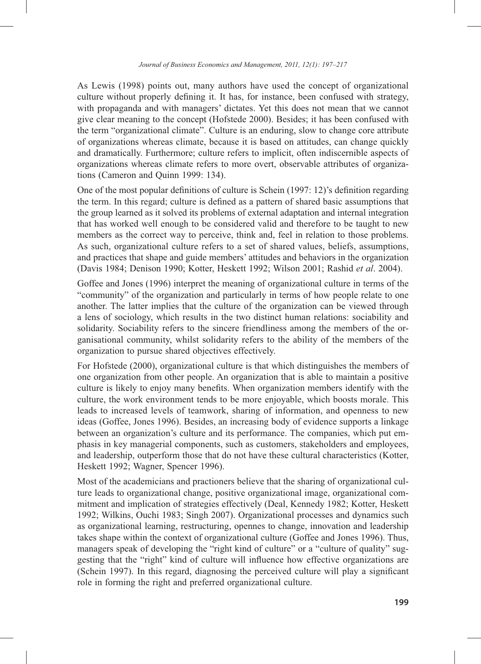As Lewis (1998) points out, many authors have used the concept of organizational culture without properly defining it. It has, for instance, been confused with strategy, with propaganda and with managers' dictates. Yet this does not mean that we cannot give clear meaning to the concept (Hofstede 2000). Besides; it has been confused with the term "organizational climate". Culture is an enduring, slow to change core attribute of organizations whereas climate, because it is based on attitudes, can change quickly and dramatically. Furthermore; culture refers to implicit, often indiscernible aspects of organizations whereas climate refers to more overt, observable attributes of organizations (Cameron and Quinn 1999: 134).

One of the most popular definitions of culture is Schein  $(1997: 12)$ 's definition regarding the term. In this regard; culture is defined as a pattern of shared basic assumptions that the group learned as it solved its problems of external adaptation and internal integration that has worked well enough to be considered valid and therefore to be taught to new members as the correct way to perceive, think and, feel in relation to those problems. As such, organizational culture refers to a set of shared values, beliefs, assumptions, and practices that shape and guide members' attitudes and behaviors in the organization (Davis 1984; Denison 1990; Kotter, Heskett 1992; Wilson 2001; Rashid *et al*. 2004).

Goffee and Jones (1996) interpret the meaning of organizational culture in terms of the "community" of the organization and particularly in terms of how people relate to one another. The latter implies that the culture of the organization can be viewed through a lens of sociology, which results in the two distinct human relations: sociability and solidarity. Sociability refers to the sincere friendliness among the members of the organisational community, whilst solidarity refers to the ability of the members of the organization to pursue shared objectives effectively.

For Hofstede (2000), organizational culture is that which distinguishes the members of one organization from other people. An organization that is able to maintain a positive culture is likely to enjoy many benefits. When organization members identify with the culture, the work environment tends to be more enjoyable, which boosts morale. This leads to increased levels of teamwork, sharing of information, and openness to new ideas (Goffee, Jones 1996). Besides, an increasing body of evidence supports a linkage between an organization's culture and its performance. The companies, which put emphasis in key managerial components, such as customers, stakeholders and employees, and leadership, outperform those that do not have these cultural characteristics (Kotter, Heskett 1992; Wagner, Spencer 1996).

Most of the academicians and practioners believe that the sharing of organizational culture leads to organizational change, positive organizational image, organizational commitment and implication of strategies effectively (Deal, Kennedy 1982; Kotter, Heskett 1992; Wilkins, Ouchi 1983; Singh 2007). Organizational processes and dynamics such as organizational learning, restructuring, opennes to change, innovation and leadership takes shape within the context of organizational culture (Goffee and Jones 1996). Thus, managers speak of developing the "right kind of culture" or a "culture of quality" suggesting that the "right" kind of culture will influence how effective organizations are (Schein 1997). In this regard, diagnosing the perceived culture will play a significant role in forming the right and preferred organizational culture.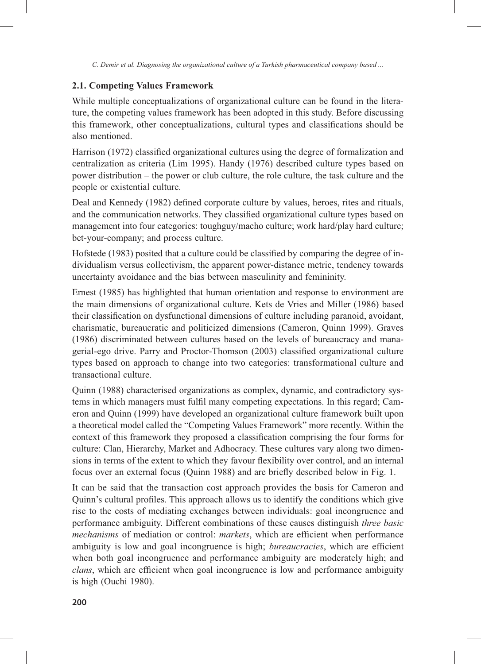### **2.1. Competing Values Framework**

While multiple conceptualizations of organizational culture can be found in the literature, the competing values framework has been adopted in this study. Before discussing this framework, other conceptualizations, cultural types and classifications should be also mentioned.

Harrison (1972) classified organizational cultures using the degree of formalization and centralization as criteria (Lim 1995). Handy (1976) described culture types based on power distribution – the power or club culture, the role culture, the task culture and the people or existential culture.

Deal and Kennedy (1982) defined corporate culture by values, heroes, rites and rituals, and the communication networks. They classified organizational culture types based on management into four categories: toughguy/macho culture; work hard/play hard culture; bet-your-company; and process culture.

Hofstede (1983) posited that a culture could be classified by comparing the degree of individualism versus collectivism, the apparent power-distance metric, tendency towards uncertainty avoidance and the bias between masculinity and femininity.

Ernest (1985) has highlighted that human orientation and response to environment are the main dimensions of organizational culture. Kets de Vries and Miller (1986) based their classification on dysfunctional dimensions of culture including paranoid, avoidant, charismatic, bureaucratic and politicized dimensions (Cameron, Quinn 1999). Graves (1986) discriminated between cultures based on the levels of bureaucracy and managerial-ego drive. Parry and Proctor-Thomson (2003) classified organizational culture types based on approach to change into two categories: transformational culture and transactional culture.

Quinn (1988) characterised organizations as complex, dynamic, and contradictory systems in which managers must fulfil many competing expectations. In this regard; Cameron and Quinn (1999) have developed an organizational culture framework built upon a theoretical model called the "Competing Values Framework" more recently. Within the context of this framework they proposed a classification comprising the four forms for culture: Clan, Hierarchy, Market and Adhocracy. These cultures vary along two dimensions in terms of the extent to which they favour flexibility over control, and an internal focus over an external focus (Quinn 1988) and are briefly described below in Fig. 1.

It can be said that the transaction cost approach provides the basis for Cameron and Quinn's cultural profiles. This approach allows us to identify the conditions which give rise to the costs of mediating exchanges between individuals: goal incongruence and performance ambiguity. Different combinations of these causes distinguish *three basic mechanisms* of mediation or control: *markets*, which are efficient when performance ambiguity is low and goal incongruence is high; *bureaucracies*, which are efficient when both goal incongruence and performance ambiguity are moderately high; and *clans*, which are efficient when goal incongruence is low and performance ambiguity is high (Ouchi 1980).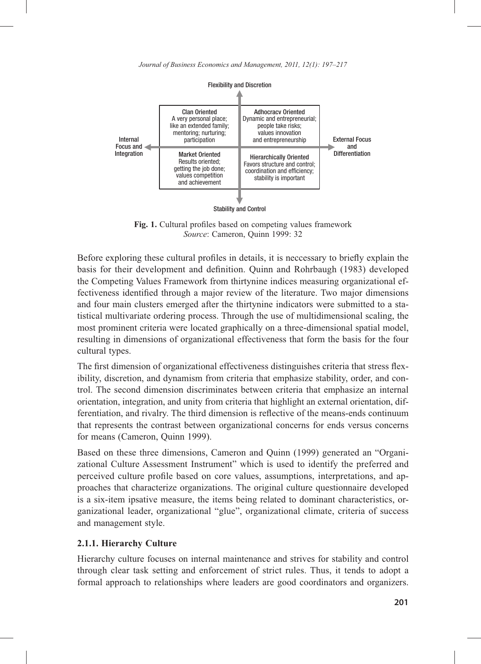

Fig. 1. Cultural profiles based on competing values framework *Source*: Cameron, Quinn 1999: 32

Before exploring these cultural profiles in details, it is neccessary to briefly explain the basis for their development and definition. Quinn and Rohrbaugh (1983) developed the Competing Values Framework from thirtynine indices measuring organizational effectiveness identified through a major review of the literature. Two major dimensions and four main clusters emerged after the thirtynine indicators were submitted to a statistical multivariate ordering process. Through the use of multidimensional scaling, the most prominent criteria were located graphically on a three-dimensional spatial model, resulting in dimensions of organizational effectiveness that form the basis for the four cultural types.

The first dimension of organizational effectiveness distinguishes criteria that stress flexibility, discretion, and dynamism from criteria that emphasize stability, order, and control. The second dimension discriminates between criteria that emphasize an internal orientation, integration, and unity from criteria that highlight an external orientation, differentiation, and rivalry. The third dimension is reflective of the means-ends continuum that represents the contrast between organizational concerns for ends versus concerns for means (Cameron, Quinn 1999).

Based on these three dimensions, Cameron and Quinn (1999) generated an "Organizational Culture Assessment Instrument" which is used to identify the preferred and perceived culture profile based on core values, assumptions, interpretations, and approaches that characterize organizations. The original culture questionnaire developed is a six-item ipsative measure, the items being related to dominant characteristics, organizational leader, organizational "glue", organizational climate, criteria of success and management style.

### **2.1.1. Hierarchy Culture**

Hierarchy culture focuses on internal maintenance and strives for stability and control through clear task setting and enforcement of strict rules. Thus, it tends to adopt a formal approach to relationships where leaders are good coordinators and organizers.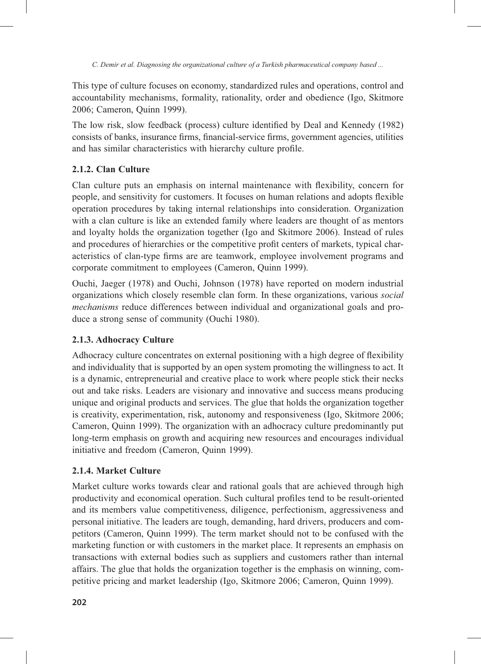This type of culture focuses on economy, standardized rules and operations, control and accountability mechanisms, formality, rationality, order and obedience (Igo, Skitmore 2006; Cameron, Quinn 1999).

The low risk, slow feedback (process) culture identified by Deal and Kennedy (1982) consists of banks, insurance firms, financial-service firms, government agencies, utilities and has similar characteristics with hierarchy culture profile.

## **2.1.2. Clan Culture**

Clan culture puts an emphasis on internal maintenance with flexibility, concern for people, and sensitivity for customers. It focuses on human relations and adopts flexible operation procedures by taking internal relationships into consideration. Organization with a clan culture is like an extended family where leaders are thought of as mentors and loyalty holds the organization together (Igo and Skitmore 2006). Instead of rules and procedures of hierarchies or the competitive profit centers of markets, typical characteristics of clan-type firms are are teamwork, employee involvement programs and corporate commitment to employees (Cameron, Quinn 1999).

Ouchi, Jaeger (1978) and Ouchi, Johnson (1978) have reported on modern industrial organizations which closely resemble clan form. In these organizations, various *social mechanisms* reduce differences between individual and organizational goals and produce a strong sense of community (Ouchi 1980).

# **2.1.3. Adhocracy Culture**

Adhocracy culture concentrates on external positioning with a high degree of flexibility and individuality that is supported by an open system promoting the willingness to act. It is a dynamic, entrepreneurial and creative place to work where people stick their necks out and take risks. Leaders are visionary and innovative and success means producing unique and original products and services. The glue that holds the organization together is creativity, experimentation, risk, autonomy and responsiveness (Igo, Skitmore 2006; Cameron, Quinn 1999). The organization with an adhocracy culture predominantly put long-term emphasis on growth and acquiring new resources and encourages individual initiative and freedom (Cameron, Quinn 1999).

### **2.1.4. Market Culture**

Market culture works towards clear and rational goals that are achieved through high productivity and economical operation. Such cultural profiles tend to be result-oriented and its members value competitiveness, diligence, perfectionism, aggressiveness and personal initiative. The leaders are tough, demanding, hard drivers, producers and competitors (Cameron, Quinn 1999). The term market should not to be confused with the marketing function or with customers in the market place. It represents an emphasis on transactions with external bodies such as suppliers and customers rather than internal affairs. The glue that holds the organization together is the emphasis on winning, competitive pricing and market leadership (Igo, Skitmore 2006; Cameron, Quinn 1999).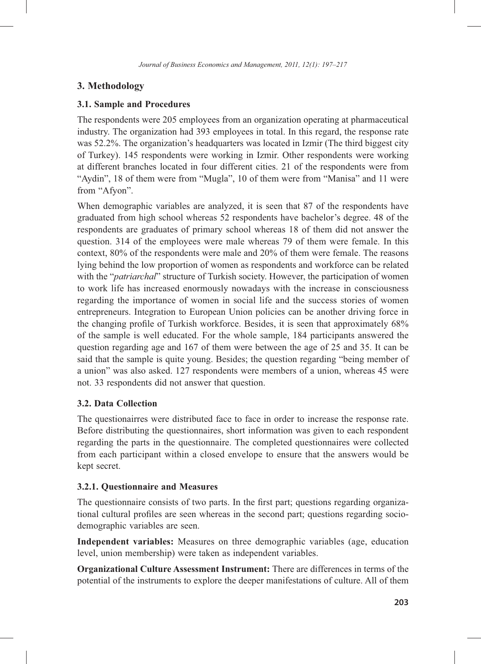### **3. Methodology**

### **3.1. Sample and Procedures**

The respondents were 205 employees from an organization operating at pharmaceutical industry. The organization had 393 employees in total. In this regard, the response rate was 52.2%. The organization's headquarters was located in Izmir (The third biggest city of Turkey). 145 respondents were working in Izmir. Other respondents were working at different branches located in four different cities. 21 of the respondents were from "Aydin", 18 of them were from "Mugla", 10 of them were from "Manisa" and 11 were from "Afyon".

When demographic variables are analyzed, it is seen that 87 of the respondents have graduated from high school whereas 52 respondents have bachelor's degree. 48 of the respondents are graduates of primary school whereas 18 of them did not answer the question. 314 of the employees were male whereas 79 of them were female. In this context, 80% of the respondents were male and 20% of them were female. The reasons lying behind the low proportion of women as respondents and workforce can be related with the "*patriarchal*" structure of Turkish society. However, the participation of women to work life has increased enormously nowadays with the increase in consciousness regarding the importance of women in social life and the success stories of women entrepreneurs. Integration to European Union policies can be another driving force in the changing profile of Turkish workforce. Besides, it is seen that approximately 68% of the sample is well educated. For the whole sample, 184 participants answered the question regarding age and 167 of them were between the age of 25 and 35. It can be said that the sample is quite young. Besides; the question regarding "being member of a union" was also asked. 127 respondents were members of a union, whereas 45 were not. 33 respondents did not answer that question.

### **3.2. Data Collection**

The questionairres were distributed face to face in order to increase the response rate. Before distributing the questionnaires, short information was given to each respondent regarding the parts in the questionnaire. The completed questionnaires were collected from each participant within a closed envelope to ensure that the answers would be kept secret.

### **3.2.1. Questionnaire and Measures**

The questionnaire consists of two parts. In the first part; questions regarding organizational cultural profiles are seen whereas in the second part; questions regarding sociodemographic variables are seen.

**Independent variables:** Measures on three demographic variables (age, education level, union membership) were taken as independent variables.

**Organizational Culture Assessment Instrument:** There are differences in terms of the potential of the instruments to explore the deeper manifestations of culture. All of them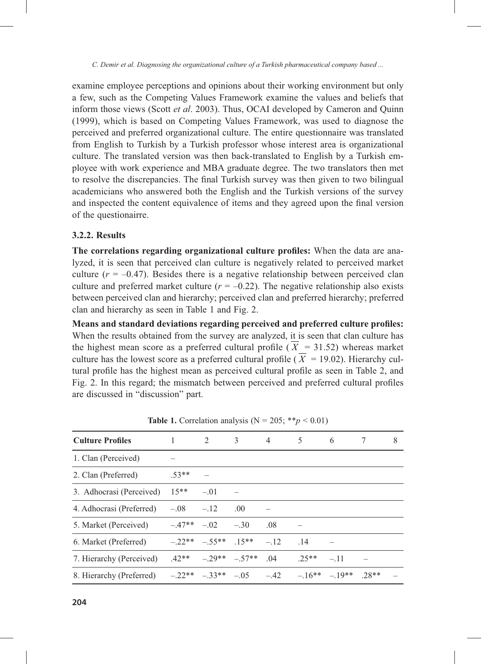examine employee perceptions and opinions about their working environment but only a few, such as the Competing Values Framework examine the values and beliefs that inform those views (Scott *et al*. 2003). Thus, OCAI developed by Cameron and Quinn (1999), which is based on Competing Values Framework, was used to diagnose the perceived and preferred organizational culture. The entire questionnaire was translated from English to Turkish by a Turkish professor whose interest area is organizational culture. The translated version was then back-translated to English by a Turkish employee with work experience and MBA graduate degree. The two translators then met to resolve the discrepancies. The final Turkish survey was then given to two bilingual academicians who answered both the English and the Turkish versions of the survey and inspected the content equivalence of items and they agreed upon the final version of the questionairre.

#### **3.2.2. Results**

**The correlations regarding organizational culture profiles:** When the data are analyzed, it is seen that perceived clan culture is negatively related to perceived market culture  $(r = -0.47)$ . Besides there is a negative relationship between perceived clan culture and preferred market culture  $(r = -0.22)$ . The negative relationship also exists between perceived clan and hierarchy; perceived clan and preferred hierarchy; preferred clan and hierarchy as seen in Table 1 and Fig. 2.

**Means and standard deviations regarding perceived and preferred culture profiles:** When the results obtained from the survey are analyzed, it is seen that clan culture has the highest mean score as a preferred cultural profile ( $X = 31.52$ ) whereas market culture has the lowest score as a preferred cultural profile ( $\overline{X}$  = 19.02). Hierarchy cultural profile has the highest mean as perceived cultural profile as seen in Table 2, and Fig. 2. In this regard; the mismatch between perceived and preferred cultural profiles are discussed in "discussion" part.

| <b>Culture Profiles</b>  |              | $\mathfrak{D}_{\mathfrak{p}}$ | 3    | $\overline{4}$ | 5      | 6             | 7      | 8 |
|--------------------------|--------------|-------------------------------|------|----------------|--------|---------------|--------|---|
| 1. Clan (Perceived)      |              |                               |      |                |        |               |        |   |
| 2. Clan (Preferred)      | $53**$       |                               |      |                |        |               |        |   |
| 3. Adhocrasi (Perceived) | $15**$       | $-.01$                        |      |                |        |               |        |   |
| 4. Adhocrasi (Preferred) | $-.08 - .12$ |                               | .00. |                |        |               |        |   |
| 5. Market (Perceived)    |              | $-.47**$ $-.02$ $-.30$        |      | .08            |        |               |        |   |
| 6. Market (Preferred)    |              | $-22** -55** -15**$           |      | $-.12$         | .14    |               |        |   |
| 7. Hierarchy (Perceived) |              | $.42** - .29** - .57**$       |      | .04            | $25**$ | $-.11$        |        |   |
| 8. Hierarchy (Preferred) |              | $-22** -33** -05$             |      | $-.42.$        |        | $-16** -19**$ | $28**$ |   |

**Table 1.** Correlation analysis ( $N = 205$ ; \*\**p* < 0.01)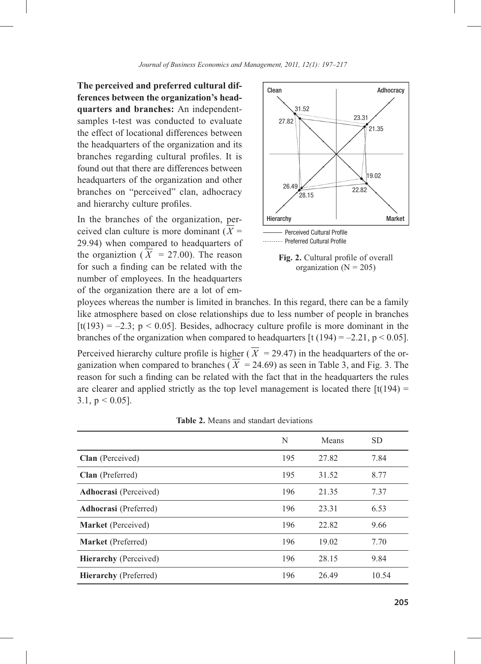**The perceived and preferred cultural differences between the organization's headquarters and branches:** An independentsamples t-test was conducted to evaluate the effect of locational differences between the headquarters of the organization and its branches regarding cultural profiles. It is found out that there are differences between headquarters of the organization and other branches on "perceived" clan, adhocracy and hierarchy culture profiles.

In the branches of the organization, perceived clan culture is more dominant (*X* = 29.94) when compared to headquarters of the organization ( $\overline{X}$  = 27.00). The reason for such a finding can be related with the number of employees. In the headquarters of the organization there are a lot of em-





Fig. 2. Cultural profile of overall organization ( $N = 205$ )

ployees whereas the number is limited in branches. In this regard, there can be a family like atmosphere based on close relationships due to less number of people in branches  $[t(193) = -2.3; p \le 0.05]$ . Besides, adhocracy culture profile is more dominant in the branches of the organization when compared to headquarters [t (194) = -2.21, p < 0.05].

Perceived hierarchy culture profile is higher ( $\overline{X}$  = 29.47) in the headquarters of the organization when compared to branches ( $\overline{X}$  = 24.69) as seen in Table 3, and Fig. 3. The reason for such a finding can be related with the fact that in the headquarters the rules are clearer and applied strictly as the top level management is located there  $\lceil t(194) \rceil$ 3.1,  $p < 0.05$ ].

|                              | N   | Means | <b>SD</b> |
|------------------------------|-----|-------|-----------|
| <b>Clan</b> (Perceived)      | 195 | 27.82 | 7.84      |
| <b>Clan</b> (Preferred)      | 195 | 31.52 | 8.77      |
| <b>Adhocrasi</b> (Perceived) | 196 | 21.35 | 7.37      |
| <b>Adhocrasi</b> (Preferred) | 196 | 23.31 | 6.53      |
| Market (Perceived)           | 196 | 22.82 | 9.66      |
| Market (Preferred)           | 196 | 19.02 | 7.70      |
| <b>Hierarchy</b> (Perceived) | 196 | 28.15 | 9.84      |
| <b>Hierarchy</b> (Preferred) | 196 | 26.49 | 10.54     |

**Table 2.** Means and standart deviations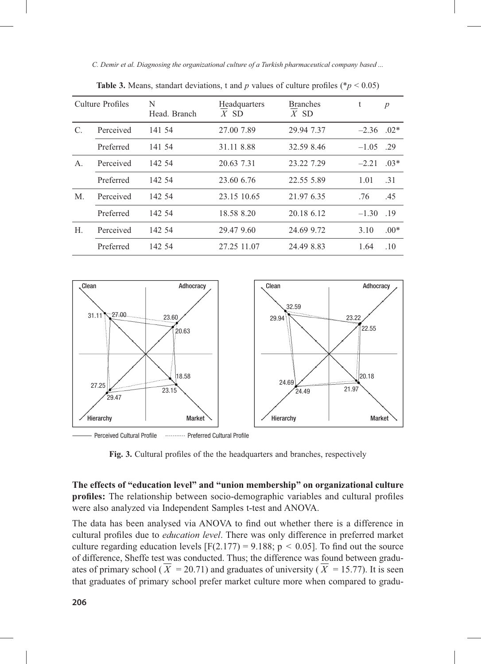| Culture Profiles |           | N<br>Head. Branch | Headquarters<br>$X$ SD | <b>Branches</b><br>$X$ SD | t       | $\boldsymbol{p}$ |
|------------------|-----------|-------------------|------------------------|---------------------------|---------|------------------|
| C.               | Perceived | 141 54            | 27.00 7.89             | 29.94 7.37                | $-2.36$ | $.02*$           |
|                  | Preferred | 141 54            | 31.11 8.88             | 32.59 8.46                | $-1.05$ | .29              |
| A.               | Perceived | 142 54            | 20.63 7.31             | 23.22 7.29                | $-2.21$ | $.03*$           |
|                  | Preferred | 142 54            | 23.60 6.76             | 22.55 5.89                | 1.01    | .31              |
| M.               | Perceived | 142 54            | 23.15 10.65            | 21.97 6.35                | .76     | .45              |
|                  | Preferred | 142 54            | 18.58 8.20             | 20.18 6.12                | $-1.30$ | .19              |
| Н.               | Perceived | 142 54            | 29.47 9.60             | 24.69 9.72                | 3.10    | $.00*$           |
|                  | Preferred | 142 54            | 27.25 11.07            | 24.49 8.83                | 1.64    | .10              |

**Table 3.** Means, standart deviations, t and *p* values of culture profiles ( $*p < 0.05$ )



Fig. 3. Cultural profiles of the the headquarters and branches, respectively

**The effects of "education level" and "union membership" on organizational culture profiles:** The relationship between socio-demographic variables and cultural profiles were also analyzed via Independent Samples t-test and ANOVA.

The data has been analysed via ANOVA to find out whether there is a difference in cultural profiles due to *education level*. There was only difference in preferred market culture regarding education levels  $[F(2.177) = 9.188; p < 0.05]$ . To find out the source of difference, Sheffe test was conducted. Thus; the difference was found between graduates of primary school ( $\overline{X}$  = 20.71) and graduates of university ( $\overline{X}$  = 15.77). It is seen that graduates of primary school prefer market culture more when compared to gradu-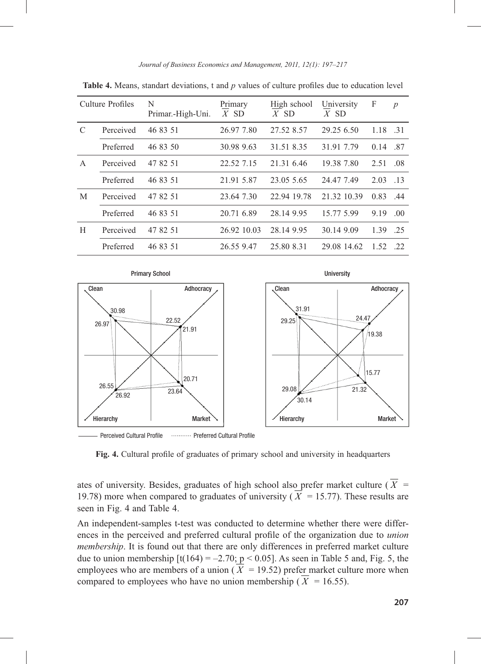| Culture Profiles |           | N<br>Primar.-High-Uni. | Primary<br>$X$ SD | High school<br>$X$ SD | University<br>$X$ SD | F    | $\boldsymbol{p}$ |
|------------------|-----------|------------------------|-------------------|-----------------------|----------------------|------|------------------|
| C                | Perceived | 46 83 51               | 26.97 7.80        | 27.52 8.57            | 29.25 6.50           | 1.18 | .31              |
|                  | Preferred | 46 83 50               | 30.98 9.63        | 31.51 8.35            | 31.91 7.79           | 0.14 | .87              |
| A                | Perceived | 47 82 51               | 22.52 7.15        | 21.31 6.46            | 19.38 7.80           | 2.51 | .08              |
|                  | Preferred | 46 83 51               | 21.91 5.87        | 23.05 5.65            | 24.47 7.49           | 2.03 | .13              |
| M                | Perceived | 47 82 51               | 23.64 7.30        | 22.94 19.78           | 21.32 10.39          | 0.83 | .44              |
|                  | Preferred | 46 83 51               | 20.71 6.89        | 28.14 9.95            | 15.77 5.99           | 9.19 | .00.             |
| H                | Perceived | 47 82 51               | 26.92 10.03       | 28.14 9.95            | 30.14 9.09           | 1.39 | .25              |
|                  | Preferred | 46 83 51               | 26.55 9.47        | 25.80 8.31            | 29.08 14.62          | 1.52 | - 22             |

**Table 4.** Means, standart deviations, t and *p* values of culture profiles due to education level



Fig. 4. Cultural profile of graduates of primary school and university in headquarters

ates of university. Besides, graduates of high school also prefer market culture ( $\overline{X}$  = 19.78) more when compared to graduates of university ( $\overline{X}$  = 15.77). These results are seen in Fig. 4 and Table 4.

An independent-samples t-test was conducted to determine whether there were differences in the perceived and preferred cultural profile of the organization due to *union membership*. It is found out that there are only differences in preferred market culture due to union membership  $\lbrack t(164) = -2.70; p < 0.05 \rbrack$ . As seen in Table 5 and, Fig. 5, the employees who are members of a union ( $\overline{X}$  = 19.52) prefer market culture more when compared to employees who have no union membership ( $\overline{X}$  = 16.55).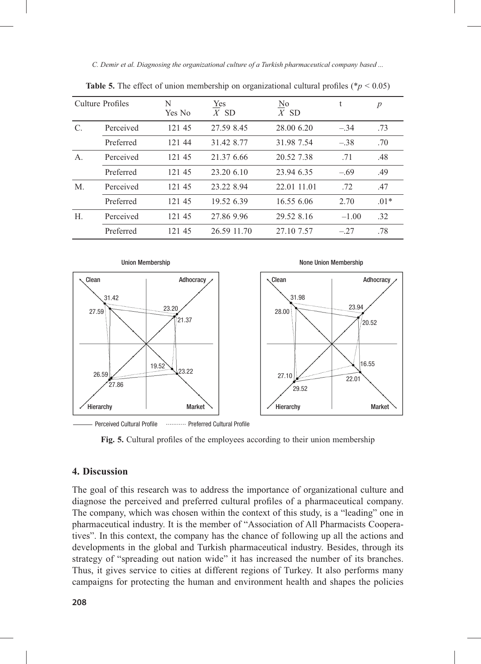|    | Culture Profiles | N<br>Yes No | Yes<br>$X$ SD | No.<br>$X$ SD | t       | $\boldsymbol{p}$ |
|----|------------------|-------------|---------------|---------------|---------|------------------|
| C. | Perceived        | 12145       | 27.59 8.45    | 28.00 6.20    | $-.34$  | .73              |
|    | Preferred        | 121 44      | 31.42 8.77    | 31.98 7.54    | $-.38$  | .70              |
| А. | Perceived        | 12145       | 21.37 6.66    | 20.52 7.38    | .71     | .48              |
|    | Preferred        | 12145       | 23.20 6.10    | 23.94 6.35    | $-.69$  | .49              |
| M. | Perceived        | 12145       | 23.22 8.94    | 22.01 11.01   | .72     | .47              |
|    | Preferred        | 121 45      | 19.52 6.39    | 16.55 6.06    | 2.70    | $.01*$           |
| Н. | Perceived        | 121 45      | 27.86 9.96    | 29.52 8.16    | $-1.00$ | .32              |
|    | Preferred        | 12145       | 26.59 11.70   | 27.10 7.57    | $-.27$  | .78              |

**Table 5.** The effect of union membership on organizational cultural profiles ( $*p < 0.05$ )







Perceived Cultural Profile **Preferred Cultural Profile** 

**Fig. 5.** Cultural profiles of the employees according to their union membership

### **4. Discussion**

The goal of this research was to address the importance of organizational culture and diagnose the perceived and preferred cultural profiles of a pharmaceutical company. The company, which was chosen within the context of this study, is a "leading" one in pharmaceutical industry. It is the member of "Association of All Pharmacists Cooperatives". In this context, the company has the chance of following up all the actions and developments in the global and Turkish pharmaceutical industry. Besides, through its strategy of "spreading out nation wide" it has increased the number of its branches. Thus, it gives service to cities at different regions of Turkey. It also performs many campaigns for protecting the human and environment health and shapes the policies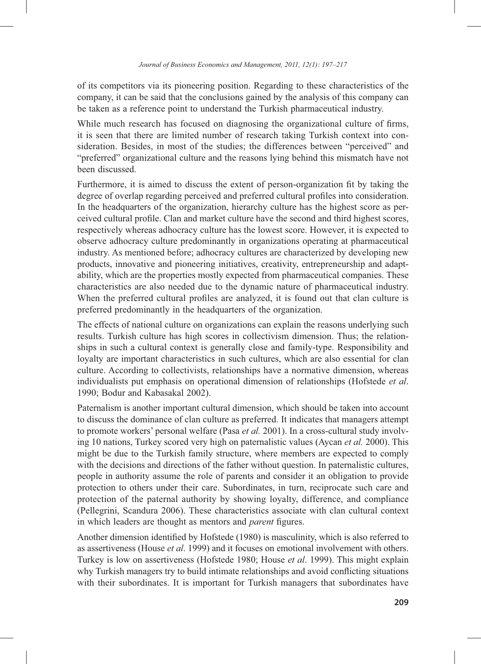of its competitors via its pioneering position. Regarding to these characteristics of the company, it can be said that the conclusions gained by the analysis of this company can be taken as a reference point to understand the Turkish pharmaceutical industry.

While much research has focused on diagnosing the organizational culture of firms, it is seen that there are limited number of research taking Turkish context into consideration. Besides, in most of the studies; the differences between "perceived" and "preferred" organizational culture and the reasons lying behind this mismatch have not been discussed.

Furthermore, it is aimed to discuss the extent of person-organization fi t by taking the degree of overlap regarding perceived and preferred cultural profiles into consideration. In the headquarters of the organization, hierarchy culture has the highest score as perceived cultural profile. Clan and market culture have the second and third highest scores, respectively whereas adhocracy culture has the lowest score. However, it is expected to observe adhocracy culture predominantly in organizations operating at pharmaceutical industry. As mentioned before; adhocracy cultures are characterized by developing new products, innovative and pioneering initiatives, creativity, entrepreneurship and adaptability, which are the properties mostly expected from pharmaceutical companies. These characteristics are also needed due to the dynamic nature of pharmaceutical industry. When the preferred cultural profiles are analyzed, it is found out that clan culture is preferred predominantly in the headquarters of the organization.

The effects of national culture on organizations can explain the reasons underlying such results. Turkish culture has high scores in collectivism dimension. Thus; the relationships in such a cultural context is generally close and family-type. Responsibility and loyalty are important characteristics in such cultures, which are also essential for clan culture. According to collectivists, relationships have a normative dimension, whereas individualists put emphasis on operational dimension of relationships (Hofstede *et al*. 1990; Bodur and Kabasakal 2002).

Paternalism is another important cultural dimension, which should be taken into account to discuss the dominance of clan culture as preferred. It indicates that managers attempt to promote workers' personal welfare (Pasa *et al.* 2001). In a cross-cultural study involving 10 nations, Turkey scored very high on paternalistic values (Aycan *et al.* 2000). This might be due to the Turkish family structure, where members are expected to comply with the decisions and directions of the father without question. In paternalistic cultures, people in authority assume the role of parents and consider it an obligation to provide protection to others under their care. Subordinates, in turn, reciprocate such care and protection of the paternal authority by showing loyalty, difference, and compliance (Pellegrini, Scandura 2006). These characteristics associate with clan cultural context in which leaders are thought as mentors and *parent* figures.

Another dimension identified by Hofstede (1980) is masculinity, which is also referred to as assertiveness (House *et al*. 1999) and it focuses on emotional involvement with others. Turkey is low on assertiveness (Hofstede 1980; House *et al*. 1999). This might explain why Turkish managers try to build intimate relationships and avoid conflicting situations with their subordinates. It is important for Turkish managers that subordinates have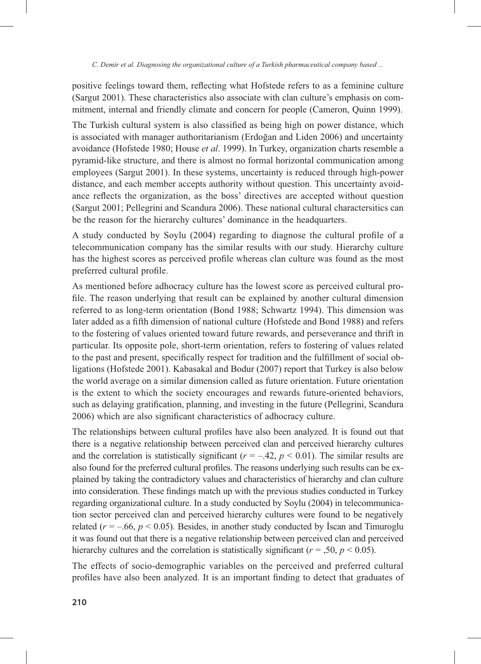positive feelings toward them, reflecting what Hofstede refers to as a feminine culture (Sargut 2001). These characteristics also associate with clan culture's emphasis on commitment, internal and friendly climate and concern for people (Cameron, Quinn 1999).

The Turkish cultural system is also classified as being high on power distance, which is associated with manager authoritarianism (Erdoğan and Liden 2006) and uncertainty avoidance (Hofstede 1980; House *et al*. 1999). In Turkey, organization charts resemble a pyramid-like structure, and there is almost no formal horizontal communication among employees (Sargut 2001). In these systems, uncertainty is reduced through high-power distance, and each member accepts authority without question. This uncertainty avoidance reflects the organization, as the boss' directives are accepted without question (Sargut 2001; Pellegrini and Scandura 2006). These national cultural charactersitics can be the reason for the hierarchy cultures' dominance in the headquarters.

A study conducted by Soylu  $(2004)$  regarding to diagnose the cultural profile of a telecommunication company has the similar results with our study. Hierarchy culture has the highest scores as perceived profile whereas clan culture was found as the most preferred cultural profile.

As mentioned before adhocracy culture has the lowest score as perceived cultural profile. The reason underlying that result can be explained by another cultural dimension referred to as long-term orientation (Bond 1988; Schwartz 1994). This dimension was later added as a fifth dimension of national culture (Hofstede and Bond 1988) and refers to the fostering of values oriented toward future rewards, and perseverance and thrift in particular. Its opposite pole, short-term orientation, refers to fostering of values related to the past and present, specifically respect for tradition and the fulfillment of social obligations (Hofstede 2001). Kabasakal and Bodur (2007) report that Turkey is also below the world average on a similar dimension called as future orientation. Future orientation is the extent to which the society encourages and rewards future-oriented behaviors, such as delaying gratification, planning, and investing in the future (Pellegrini, Scandura 2006) which are also significant characteristics of adhocracy culture.

The relationships between cultural profiles have also been analyzed. It is found out that there is a negative relationship between perceived clan and perceived hierarchy cultures and the correlation is statistically significant ( $r = -0.42$ ,  $p < 0.01$ ). The similar results are also found for the preferred cultural profiles. The reasons underlying such results can be explained by taking the contradictory values and characteristics of hierarchy and clan culture into consideration. These findings match up with the previous studies conducted in Turkey regarding organizational culture. In a study conducted by Soylu (2004) in telecommunication sector perceived clan and perceived hierarchy cultures were found to be negatively related ( $r = -0.6$ ,  $p < 0.05$ ). Besides, in another study conducted by Iscan and Timuroglu it was found out that there is a negative relationship between perceived clan and perceived hierarchy cultures and the correlation is statistically significant ( $r = 0.50$ ,  $p < 0.05$ ).

The effects of socio-demographic variables on the perceived and preferred cultural profiles have also been analyzed. It is an important finding to detect that graduates of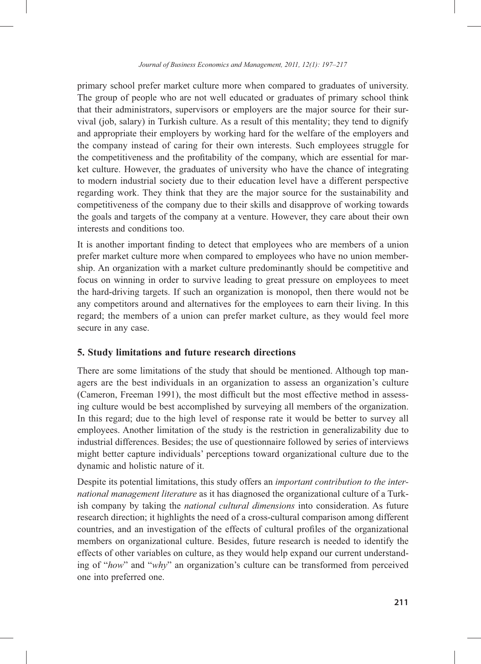primary school prefer market culture more when compared to graduates of university. The group of people who are not well educated or graduates of primary school think that their administrators, supervisors or employers are the major source for their survival (job, salary) in Turkish culture. As a result of this mentality; they tend to dignify and appropriate their employers by working hard for the welfare of the employers and the company instead of caring for their own interests. Such employees struggle for the competitiveness and the profitability of the company, which are essential for market culture. However, the graduates of university who have the chance of integrating to modern industrial society due to their education level have a different perspective regarding work. They think that they are the major source for the sustainability and competitiveness of the company due to their skills and disapprove of working towards the goals and targets of the company at a venture. However, they care about their own interests and conditions too.

It is another important finding to detect that employees who are members of a union prefer market culture more when compared to employees who have no union membership. An organization with a market culture predominantly should be competitive and focus on winning in order to survive leading to great pressure on employees to meet the hard-driving targets. If such an organization is monopol, then there would not be any competitors around and alternatives for the employees to earn their living. In this regard; the members of a union can prefer market culture, as they would feel more secure in any case.

### **5. Study limitations and future research directions**

There are some limitations of the study that should be mentioned. Although top managers are the best individuals in an organization to assess an organization's culture (Cameron, Freeman 1991), the most difficult but the most effective method in assessing culture would be best accomplished by surveying all members of the organization. In this regard; due to the high level of response rate it would be better to survey all employees. Another limitation of the study is the restriction in generalizability due to industrial differences. Besides; the use of questionnaire followed by series of interviews might better capture individuals' perceptions toward organizational culture due to the dynamic and holistic nature of it.

Despite its potential limitations, this study offers an *important contribution to the international management literature* as it has diagnosed the organizational culture of a Turkish company by taking the *national cultural dimensions* into consideration. As future research direction; it highlights the need of a cross-cultural comparison among different countries, and an investigation of the effects of cultural profiles of the organizational members on organizational culture. Besides, future research is needed to identify the effects of other variables on culture, as they would help expand our current understanding of "*how*" and "*why*" an organization's culture can be transformed from perceived one into preferred one.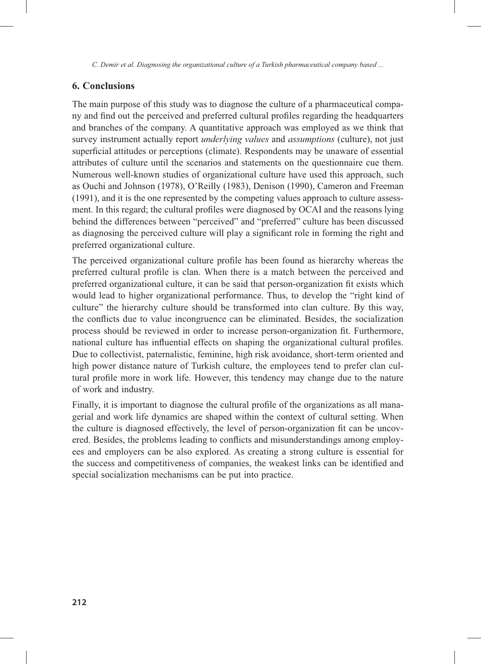### **6. Conclusions**

The main purpose of this study was to diagnose the culture of a pharmaceutical company and find out the perceived and preferred cultural profiles regarding the headquarters and branches of the company. A quantitative approach was employed as we think that survey instrument actually report *underlying values* and *assumptions* (culture), not just superficial attitudes or perceptions (climate). Respondents may be unaware of essential attributes of culture until the scenarios and statements on the questionnaire cue them. Numerous well-known studies of organizational culture have used this approach, such as Ouchi and Johnson (1978), O'Reilly (1983), Denison (1990), Cameron and Freeman (1991), and it is the one represented by the competing values approach to culture assessment. In this regard; the cultural profiles were diagnosed by OCAI and the reasons lying behind the differences between "perceived" and "preferred" culture has been discussed as diagnosing the perceived culture will play a significant role in forming the right and preferred organizational culture.

The perceived organizational culture profile has been found as hierarchy whereas the preferred cultural profile is clan. When there is a match between the perceived and preferred organizational culture, it can be said that person-organization fi t exists which would lead to higher organizational performance. Thus, to develop the "right kind of culture" the hierarchy culture should be transformed into clan culture. By this way, the conflicts due to value incongruence can be eliminated. Besides, the socialization process should be reviewed in order to increase person-organization fit. Furthermore, national culture has influential effects on shaping the organizational cultural profiles. Due to collectivist, paternalistic, feminine, high risk avoidance, short-term oriented and high power distance nature of Turkish culture, the employees tend to prefer clan cultural profile more in work life. However, this tendency may change due to the nature of work and industry.

Finally, it is important to diagnose the cultural profile of the organizations as all managerial and work life dynamics are shaped within the context of cultural setting. When the culture is diagnosed effectively, the level of person-organization fi t can be uncovered. Besides, the problems leading to conflicts and misunderstandings among employees and employers can be also explored. As creating a strong culture is essential for the success and competitiveness of companies, the weakest links can be identified and special socialization mechanisms can be put into practice.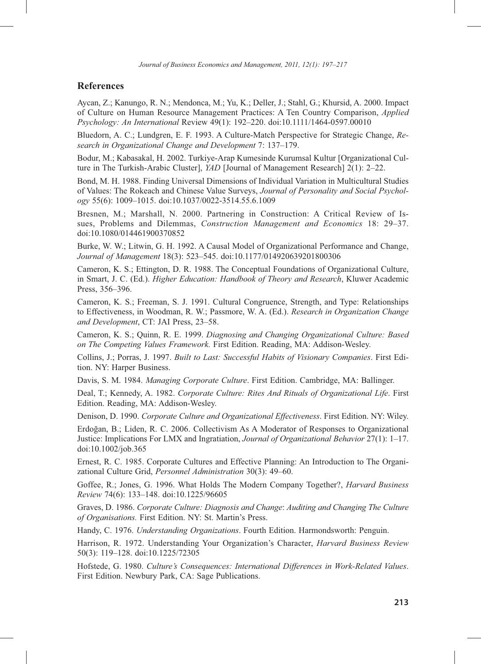#### **References**

Aycan, Z.; Kanungo, R. N.; Mendonca, M.; Yu, K.; Deller, J.; Stahl, G.; Khursid, A. 2000. Impact of Culture on Human Resource Management Practices: A Ten Country Comparison, *Applied Psychology: An International* Review 49(1): 192–220. doi:10.1111/1464-0597.00010

Bluedorn, A. C.; Lundgren, E. F. 1993. A Culture-Match Perspective for Strategic Change, *Research in Organizational Change and Development* 7: 137–179.

Bodur, M.; Kabasakal, H. 2002. Turkiye-Arap Kumesinde Kurumsal Kultur [Organizational Culture in The Turkish-Arabic Cluster], *YAD* [Journal of Management Research] 2(1): 2–22.

Bond, M. H. 1988. Finding Universal Dimensions of Individual Variation in Multicultural Studies of Values: The Rokeach and Chinese Value Surveys, *Journal of Personality and Social Psychology* 55(6): 1009–1015. doi:10.1037/0022-3514.55.6.1009

Bresnen, M.; Marshall, N. 2000. Partnering in Construction: A Critical Review of Issues, Problems and Dilemmas, *Construction Management and Economics* 18: 29–37. doi:10.1080/014461900370852

Burke, W. W.; Litwin, G. H. 1992. A Causal Model of Organizational Performance and Change, *Journal of Management* 18(3): 523–545. doi:10.1177/014920639201800306

Cameron, K. S.; Ettington, D. R. 1988. The Conceptual Foundations of Organizational Culture, in Smart, J. C. (Ed.). *Higher Education: Handbook of Theory and Research*, Kluwer Academic Press, 356–396.

Cameron, K. S.; Freeman, S. J. 1991. Cultural Congruence, Strength, and Type: Relationships to Effectiveness, in Woodman, R. W.; Passmore, W. A. (Ed.). *Research in Organization Change and Development*, CT: JAI Press, 23–58.

Cameron, K. S.; Quinn, R. E. 1999. *Diagnosing and Changing Organizational Culture: Based on The Competing Values Framework.* First Edition. Reading, MA: Addison-Wesley.

Collins, J.; Porras, J. 1997. *Built to Last: Successful Habits of Visionary Companies*. First Edition. NY: Harper Business.

Davis, S. M. 1984. *Managing Corporate Culture*. First Edition. Cambridge, MA: Ballinger.

Deal, T.; Kennedy, A. 1982. *Corporate Culture: Rites And Rituals of Organizational Life*. First Edition. Reading, MA: Addison-Wesley.

Denison, D. 1990. *Corporate Culture and Organizational Effectiveness*. First Edition. NY: Wiley.

Erdoğan, B.; Liden, R. C. 2006. Collectivism As A Moderator of Responses to Organizational Justice: Implications For LMX and Ingratiation, *Journal of Organizational Behavior* 27(1): 1–17. doi:10.1002/job.365

Ernest, R. C. 1985. Corporate Cultures and Effective Planning: An Introduction to The Organizational Culture Grid, *Personnel Administration* 30(3): 49–60.

Goffee, R.; Jones, G. 1996. What Holds The Modern Company Together?, *Harvard Business Review* 74(6): 133–148. doi:10.1225/96605

Graves, D. 1986. *Corporate Culture: Diagnosis and Change*: *Auditing and Changing The Culture of Organisations.* First Edition. NY: St. Martin's Press.

Handy, C. 1976. *Understanding Organizations*. Fourth Edition. Harmondsworth: Penguin.

Harrison, R. 1972. Understanding Your Organization's Character, *Harvard Business Review* 50(3): 119–128. doi:10.1225/72305

Hofstede, G. 1980. *Culture's Consequences: International Differences in Work-Related Values*. First Edition. Newbury Park, CA: Sage Publications.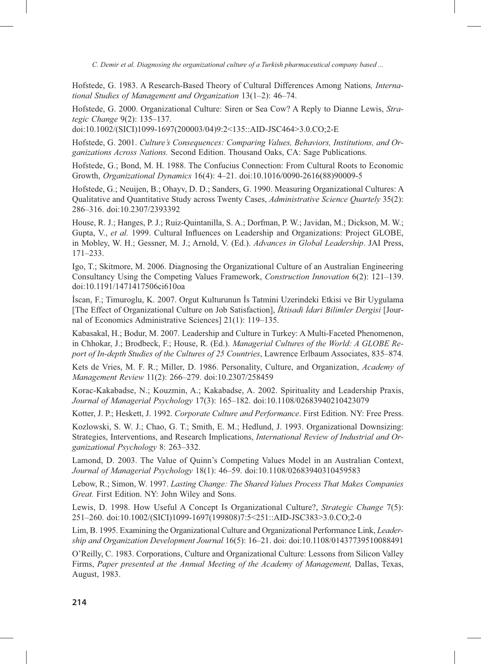Hofstede, G. 1983. A Research-Based Theory of Cultural Differences Among Nations*, International Studies of Management and Organization* 13(1–2): 46–74.

Hofstede, G. 2000. Organizational Culture: Siren or Sea Cow? A Reply to Dianne Lewis, *Strategic Change* 9(2): 135–137.

doi:10.1002/(SICI)1099-1697(200003/04)9:2<135::AID-JSC464>3.0.CO;2-E

Hofstede, G. 2001. *Culture's Consequences: Comparing Values, Behaviors, Institutions, and Organizations Across Nations.* Second Edition. Thousand Oaks, CA: Sage Publications.

Hofstede, G.; Bond, M. H. 1988. The Confucius Connection: From Cultural Roots to Economic Growth, *Organizational Dynamics* 16(4): 4–21. doi:10.1016/0090-2616(88)90009-5

Hofstede, G.; Neuijen, B.; Ohayv, D. D.; Sanders, G. 1990. Measuring Organizational Cultures: A Qualitative and Quantitative Study across Twenty Cases, *Administrative Science Quartely* 35(2): 286–316. doi:10.2307/2393392

House, R. J.; Hanges, P. J.; Ruiz-Quintanilla, S. A.; Dorfman, P. W.; Javidan, M.; Dickson, M. W.; Gupta, V., *et al.* 1999. Cultural Influences on Leadership and Organizations: Project GLOBE, in Mobley, W. H.; Gessner, M. J.; Arnold, V. (Ed.). *Advances in Global Leadership*. JAI Press, 171–233.

Igo, T.; Skitmore, M. 2006. Diagnosing the Organizational Culture of an Australian Engineering Consultancy Using the Competing Values Framework, *Construction Innovation* 6(2): 121–139. doi:10.1191/1471417506ci610oa

İscan, F.; Timuroglu, K. 2007. Orgut Kulturunun İs Tatmini Uzerindeki Etkisi ve Bir Uygulama [The Effect of Organizational Culture on Job Satisfaction], *İktisadi İdari Bilimler Dergisi* [Journal of Economics Administrative Sciences] 21(1): 119–135.

Kabasakal, H.; Bodur, M. 2007. Leadership and Culture in Turkey: A Multi-Faceted Phenomenon, in Chhokar, J.; Brodbeck, F.; House, R. (Ed.). *Managerial Cultures of the World: A GLOBE Report of In-depth Studies of the Cultures of 25 Countries*, Lawrence Erlbaum Associates, 835–874.

Kets de Vries, M. F. R.; Miller, D. 1986. Personality, Culture, and Organization, *Academy of Management Review* 11(2): 266–279. doi:10.2307/258459

Korac-Kakabadse, N.; Kouzmin, A.; Kakabadse, A. 2002. Spirituality and Leadership Praxis, *Journal of Managerial Psychology* 17(3): 165–182. doi:10.1108/02683940210423079

Kotter, J. P.; Heskett, J. 1992. *Corporate Culture and Performance*. First Edition. NY: Free Press.

Kozlowski, S. W. J.; Chao, G. T.; Smith, E. M.; Hedlund, J. 1993. Organizational Downsizing: Strategies, Interventions, and Research Implications, *International Review of Industrial and Organizational Psychology* 8: 263–332.

Lamond, D. 2003. The Value of Quinn's Competing Values Model in an Australian Context, *Journal of Managerial Psychology* 18(1): 46–59. doi:10.1108/02683940310459583

Lebow, R.; Simon, W. 1997. *Lasting Change: The Shared Values Process That Makes Companies Great.* First Edition. NY: John Wiley and Sons.

Lewis, D. 1998. How Useful A Concept Is Organizational Culture?, *Strategic Change* 7(5): 251–260. doi:10.1002/(SICI)1099-1697(199808)7:5<251::AID-JSC383>3.0.CO;2-0

Lim, B. 1995. Examining the Organizational Culture and Organizational Performance Link, *Leadership and Organization Development Journal* 16(5): 16–21. doi: doi:10.1108/01437739510088491

O'Reilly, C. 1983. Corporations, Culture and Organizational Culture: Lessons from Silicon Valley Firms, *Paper presented at the Annual Meeting of the Academy of Management,* Dallas, Texas, August, 1983.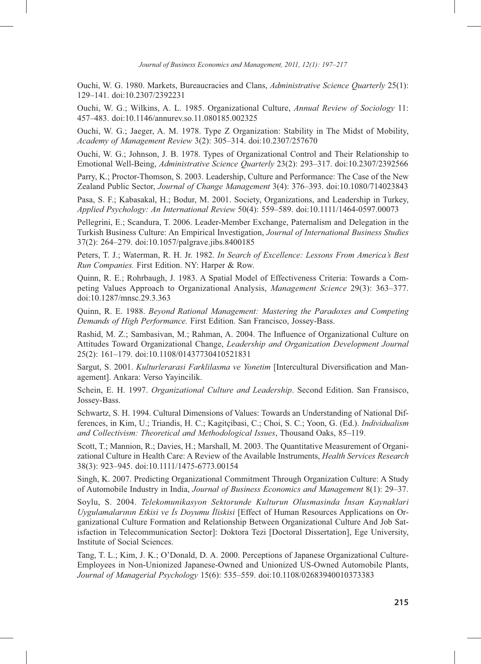Ouchi, W. G. 1980. Markets, Bureaucracies and Clans, *Administrative Science Quarterly* 25(1): 129–141. doi:10.2307/2392231

Ouchi, W. G.; Wilkins, A. L. 1985. Organizational Culture, *Annual Review of Sociology* 11: 457–483. doi:10.1146/annurev.so.11.080185.002325

Ouchi, W. G.; Jaeger, A. M. 1978. Type Z Organization: Stability in The Midst of Mobility, *Academy of Management Review* 3(2): 305–314. doi:10.2307/257670

Ouchi, W. G.; Johnson, J. B. 1978. Types of Organizational Control and Their Relationship to Emotional Well-Being, *Administrative Science Quarterly* 23(2): 293–317. doi:10.2307/2392566

Parry, K.; Proctor-Thomson, S. 2003. Leadership, Culture and Performance: The Case of the New Zealand Public Sector, *Journal of Change Management* 3(4): 376–393. doi:10.1080/714023843

Pasa, S. F.; Kabasakal, H.; Bodur, M. 2001. Society, Organizations, and Leadership in Turkey, *Applied Psychology: An International Review* 50(4): 559–589. doi:10.1111/1464-0597.00073

Pellegrini, E.; Scandura, T. 2006. Leader-Member Exchange, Paternalism and Delegation in the Turkish Business Culture: An Empirical Investigation, *Journal of International Business Studies*  37(2): 264–279. doi:10.1057/palgrave.jibs.8400185

Peters, T. J.; Waterman, R. H. Jr. 1982. *In Search of Excellence: Lessons From America's Best Run Companies.* First Edition. NY: Harper & Row.

Quinn, R. E.; Rohrbaugh, J. 1983. A Spatial Model of Effectiveness Criteria: Towards a Competing Values Approach to Organizational Analysis, *Management Science* 29(3): 363–377. doi:10.1287/mnsc.29.3.363

Quinn, R. E. 1988. *Beyond Rational Management: Mastering the Paradoxes and Competing Demands of High Performance.* First Edition. San Francisco, Jossey-Bass.

Rashid, M. Z.; Sambasivan, M.; Rahman, A. 2004. The Influence of Organizational Culture on Attitudes Toward Organizational Change, *Leadership and Organization Development Journal* 25(2): 161–179. doi:10.1108/01437730410521831

Sargut, S. 2001. *Kulturlerarasi Farklilasma ve Yonetim* [Intercultural Diversification and Management]. Ankara: Verso Yayincilik.

Schein, E. H. 1997. *Organizational Culture and Leadership*. Second Edition. San Fransisco, Jossey-Bass.

Schwartz, S. H. 1994. Cultural Dimensions of Values: Towards an Understanding of National Differences, in Kim, U.; Triandis, H. C.; Kagitçibasi, C.; Choi, S. C.; Yoon, G. (Ed.). *Individualism and Collectivism: Theoretical and Methodological Issues*, Thousand Oaks, 85–119.

Scott, T.; Mannion, R.; Davies, H.; Marshall, M. 2003. The Quantitative Measurement of Organizational Culture in Health Care: A Review of the Available Instruments, *Health Services Research* 38(3): 923–945. doi:10.1111/1475-6773.00154

Singh, K. 2007. Predicting Organizational Commitment Through Organization Culture: A Study of Automobile Industry in India, *Journal of Business Economics and Management* 8(1): 29–37.

Soylu, S. 2004. *Telekomunikasyon Sektorunde Kulturun Olusmasinda İnsan Kaynaklari Uygulamalarının Etkisi ve İs Doyumu İliskisi* [Effect of Human Resources Applications on Organizational Culture Formation and Relationship Between Organizational Culture And Job Satisfaction in Telecommunication Sector]: Doktora Tezi [Doctoral Dissertation], Ege University, Institute of Social Sciences.

Tang, T. L.; Kim, J. K.; O'Donald, D. A. 2000. Perceptions of Japanese Organizational Culture-Employees in Non-Unionized Japanese-Owned and Unionized US-Owned Automobile Plants, *Journal of Managerial Psychology* 15(6): 535–559. doi:10.1108/02683940010373383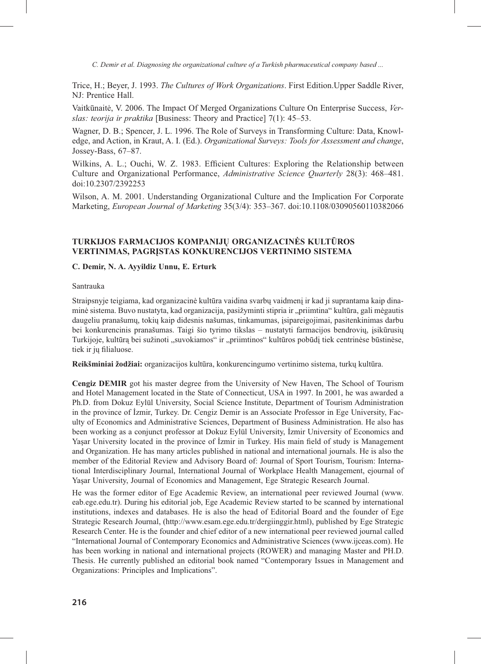Trice, H.; Beyer, J. 1993. *The Cultures of Work Organizations*. First Edition.Upper Saddle River, NJ: Prentice Hall.

Vaitkūnaitė, V. 2006. The Impact Of Merged Organizations Culture On Enterprise Success, *Verslas: teorija ir praktika* [Business: Theory and Practice] 7(1): 45–53.

Wagner, D. B.; Spencer, J. L. 1996. The Role of Surveys in Transforming Culture: Data, Knowledge, and Action, in Kraut, A. I. (Ed.). *Organizational Surveys: Tools for Assessment and change*, Jossey-Bass, 67–87.

Wilkins, A. L.; Ouchi, W. Z. 1983. Efficient Cultures: Exploring the Relationship between Culture and Organizational Performance, *Administrative Science Quarterly* 28(3): 468–481. doi:10.2307/2392253

Wilson, A. M. 2001. Understanding Organizational Culture and the Implication For Corporate Marketing, *European Journal of Marketing* 35(3/4): 353–367. doi:10.1108/03090560110382066

#### **TURKIJOS FARMACIJOS KOMPANIJŲ ORGANIZACINĖS KULTŪROS VERTINIMAS, PAGRĮSTAS KONKURENCIJOS VERTINIMO SISTEMA**

**C. Demir, N. A. Ayyildiz Unnu, E. Erturk**

Santrauka

Straipsnyje teigiama, kad organizacinė kultūra vaidina svarbų vaidmenį ir kad ji suprantama kaip dinaminė sistema. Buvo nustatyta, kad organizacija, pasižyminti stipria ir "priimtina" kultūra, gali mėgautis daugeliu pranašumų, tokių kaip didesnis našumas, tinkamumas, įsipareigojimai, pasitenkinimas darbu bei konkurencinis pranašumas. Taigi šio tyrimo tikslas – nustatyti farmacijos bendrovių, įsikūrusių Turkijoje, kultūrą bei sužinoti "suvokiamos" ir "priimtinos" kultūros pobūdį tiek centrinėse būstinėse, tiek ir jų filialuose.

**Reikšminiai žodžiai:** organizacijos kultūra, konkurencingumo vertinimo sistema, turkų kultūra.

**Cengiz DEMIR** got his master degree from the University of New Haven, The School of Tourism and Hotel Management located in the State of Connecticut, USA in 1997. In 2001, he was awarded a Ph.D. from Dokuz Eylül University, Social Science Institute, Department of Tourism Administration in the province of İzmir, Turkey. Dr. Cengiz Demir is an Associate Professor in Ege University, Faculty of Economics and Administrative Sciences, Department of Business Administration. He also has been working as a conjunct professor at Dokuz Eylül University, İzmir University of Economics and Yasar University located in the province of Izmir in Turkey. His main field of study is Management and Organization. He has many articles published in national and international journals. He is also the member of the Editorial Review and Advisory Board of: Journal of Sport Tourism, Tourism: International Interdisciplinary Journal, International Journal of Workplace Health Management, ejournal of Yaşar University, Journal of Economics and Management, Ege Strategic Research Journal.

He was the former editor of Ege Academic Review, an international peer reviewed Journal (www. eab.ege.edu.tr). During his editorial job, Ege Academic Review started to be scanned by international institutions, indexes and databases. He is also the head of Editorial Board and the founder of Ege Strategic Research Journal, (http://www.esam.ege.edu.tr/dergiinggir.html), published by Ege Strategic Research Center. He is the founder and chief editor of a new international peer reviewed journal called "International Journal of Contemporary Economics and Administrative Sciences (www.ijceas.com). He has been working in national and international projects (ROWER) and managing Master and PH.D. Thesis. He currently published an editorial book named "Contemporary Issues in Management and Organizations: Principles and Implications".